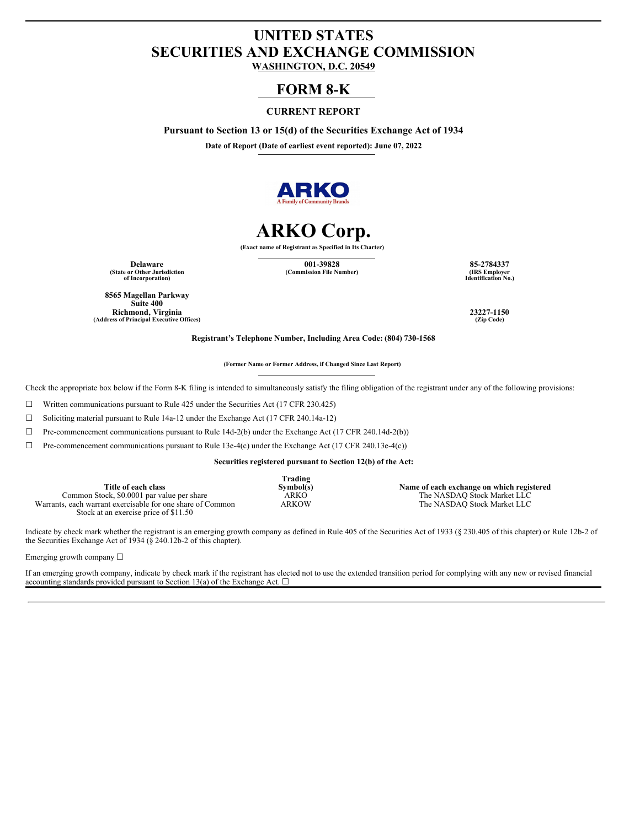# **UNITED STATES SECURITIES AND EXCHANGE COMMISSION**

**WASHINGTON, D.C. 20549**

## **FORM 8-K**

### **CURRENT REPORT**

**Pursuant to Section 13 or 15(d) of the Securities Exchange Act of 1934**

**Date of Report (Date of earliest event reported): June 07, 2022**



# **ARKO Corp.**

**(Exact name of Registrant as Specified in Its Charter)**

**Delaware 001-39828 85-2784337 (State or Other Jurisdiction of Incorporation)**

 $(Commission File Number)$ 

**Identification No.)**

**8565 Magellan Parkway Suite 400 Richmond, Virginia 23227-1150**  $(A$ ddress of **Principal Executive** Offices)

**Registrant's Telephone Number, Including Area Code: (804) 730-1568**

**(Former Name or Former Address, if Changed Since Last Report)**

Check the appropriate box below if the Form 8-K filing is intended to simultaneously satisfy the filing obligation of the registrant under any of the following provisions:

☐ Written communications pursuant to Rule 425 under the Securities Act (17 CFR 230.425)

☐ Soliciting material pursuant to Rule 14a-12 under the Exchange Act (17 CFR 240.14a-12)

☐ Pre-commencement communications pursuant to Rule 14d-2(b) under the Exchange Act (17 CFR 240.14d-2(b))

 $\Box$  Pre-commencement communications pursuant to Rule 13e-4(c) under the Exchange Act (17 CFR 240.13e-4(c))

**Securities registered pursuant to Section 12(b) of the Act:**

|                                                            | Trading      |                                           |
|------------------------------------------------------------|--------------|-------------------------------------------|
| Title of each class                                        | Symbol(s)    | Name of each exchange on which registered |
| Common Stock, \$0,0001 par value per share                 | ARKO         | The NASDAO Stock Market LLC               |
| Warrants, each warrant exercisable for one share of Common | <b>ARKOW</b> | The NASDAO Stock Market LLC               |
| Stock at an exercise price of \$11.50                      |              |                                           |

Indicate by check mark whether the registrant is an emerging growth company as defined in Rule 405 of the Securities Act of 1933 (§ 230.405 of this chapter) or Rule 12b-2 of the Securities Exchange Act of 1934 ( $\S$  240.12b-2 of this chapter).

Emerging growth company ☐

If an emerging growth company, indicate by check mark if the registrant has elected not to use the extended transition period for complying with any new or revised financial accounting standards provided pursuant to Section 13(a) of the Exchange Act.  $\Box$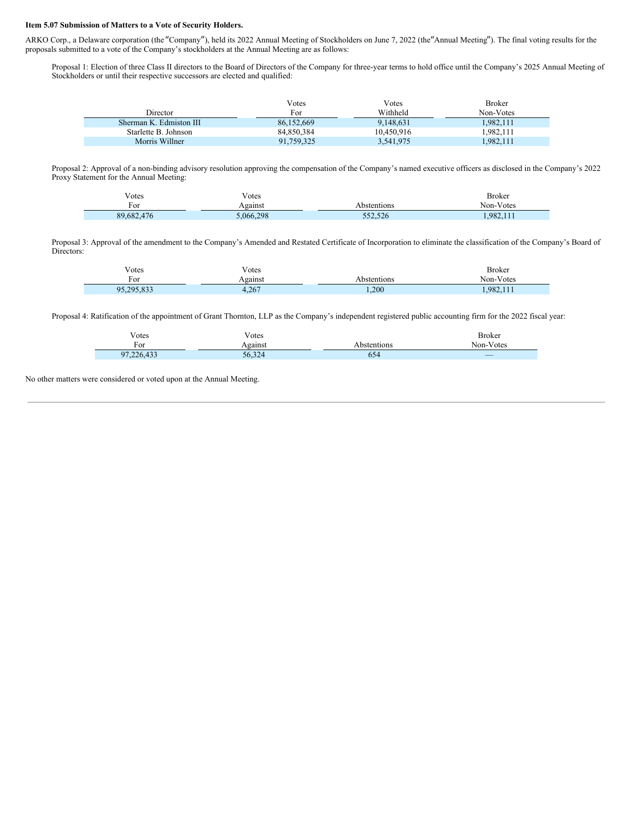#### **Item 5.07 Submission of Matters to a Vote of Security Holders.**

ARKO Corp., a Delaware corporation (the "Company"), held its 2022 Annual Meeting of Stockholders on June 7, 2022 (the "Annual Meeting"). The final voting results for the proposals submitted to a vote of the Company's stockholders at the Annual Meeting are as follows:

Proposal 1: Election of three Class II directors to the Board of Directors of the Company for three-year terms to hold office until the Company's 2025 Annual Meeting of Stockholders or until their respective successors are elected and qualified:

| Votes      | Votes      | <b>Broker</b> |
|------------|------------|---------------|
| For        | Withheld   | Non-Votes     |
| 86.152.669 | 9,148,631  | 1.982.111     |
| 84.850.384 | 10.450.916 | .982.111      |
| 91.759.325 | 3,541,975  | 1.982.111     |
|            |            |               |

Proposal 2: Approval of a non-binding advisory resolution approving the compensation of the Company's named executive officers as disclosed in the Company's 2022 Proxy Statement for the Annual Meeting:

| otes/<br>. | v otes    |             | Broker    |
|------------|-----------|-------------|-----------|
| F01        | Against   | Abstentions | Non-Votes |
| 89,682,476 | 5.066.298 | 552,526     | 1.982.11  |

Proposal 3: Approval of the amendment to the Company's Amended and Restated Certificate of Incorporation to eliminate the classification of the Company's Board of Directors:

| √otes      | Votes   |             | <b>Broker</b> |
|------------|---------|-------------|---------------|
| For        | Against | Abstentions | Non-Votes     |
| 95,295,833 | 4,267   | 1,200       | 1.982.111     |

Proposal 4: Ratification of the appointment of Grant Thornton, LLP as the Company's independent registered public accounting firm for the 2022 fiscal year:

| $\mathbf{v}$<br>√otes | T<br>√otes              |             | Broker    |
|-----------------------|-------------------------|-------------|-----------|
| For                   | Against                 | Abstentions | Non-Votes |
| 97,226,433            | $\mathcal{L}$<br>56,324 | 654         | $-$       |

No other matters were considered or voted upon at the Annual Meeting.